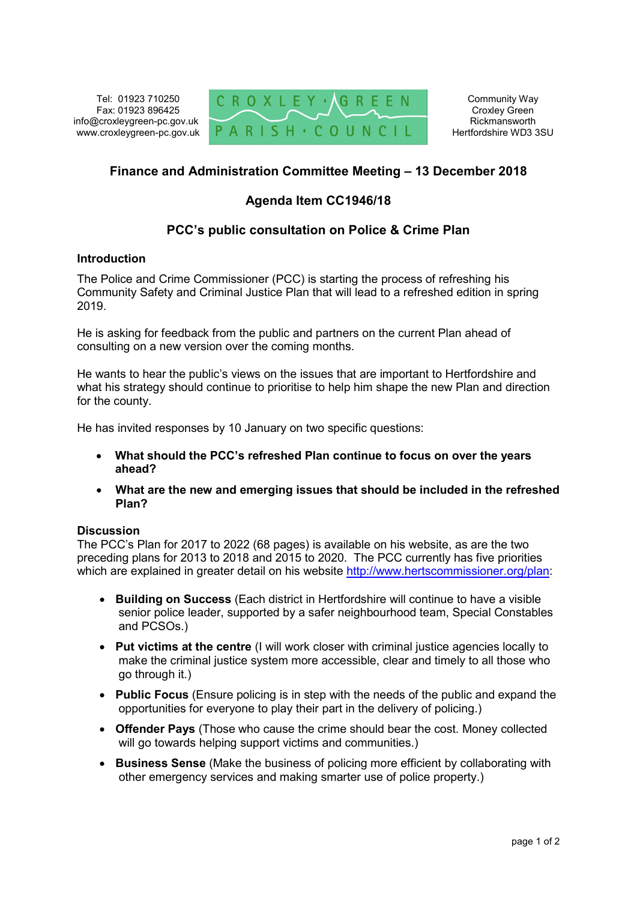Tel: 01923 710250 Fax: 01923 896425 info@croxleygreen-pc.gov.uk www.croxleygreen-pc.gov.uk



Community Way Croxley Green Rickmansworth Hertfordshire WD3 3SU

# **Finance and Administration Committee Meeting – 13 December 2018**

## **Agenda Item CC1946/18**

### **PCC's public consultation on Police & Crime Plan**

#### **Introduction**

The Police and Crime Commissioner (PCC) is starting the process of refreshing his Community Safety and Criminal Justice Plan that will lead to a refreshed edition in spring 2019.

He is asking for feedback from the public and partners on the current Plan ahead of consulting on a new version over the coming months.

He wants to hear the public's views on the issues that are important to Hertfordshire and what his strategy should continue to prioritise to help him shape the new Plan and direction for the county.

He has invited responses by 10 January on two specific questions:

- **What should the PCC's refreshed Plan continue to focus on over the years ahead?**
- **What are the new and emerging issues that should be included in the refreshed Plan?**

#### **Discussion**

The PCC's Plan for 2017 to 2022 (68 pages) is available on his website, as are the two preceding plans for 2013 to 2018 and 2015 to 2020. The PCC currently has five priorities which are explained in greater detail on his website http://www.hertscommissioner.org/plan:

- **Building on Success** (Each district in Hertfordshire will continue to have a visible senior police leader, supported by a safer neighbourhood team, Special Constables and PCSOs.)
- **Put victims at the centre** (I will work closer with criminal justice agencies locally to make the criminal justice system more accessible, clear and timely to all those who go through it.)
- **Public Focus** (Ensure policing is in step with the needs of the public and expand the opportunities for everyone to play their part in the delivery of policing.)
- **Offender Pays** (Those who cause the crime should bear the cost. Money collected will go towards helping support victims and communities.)
- **Business Sense** (Make the business of policing more efficient by collaborating with other emergency services and making smarter use of police property.)